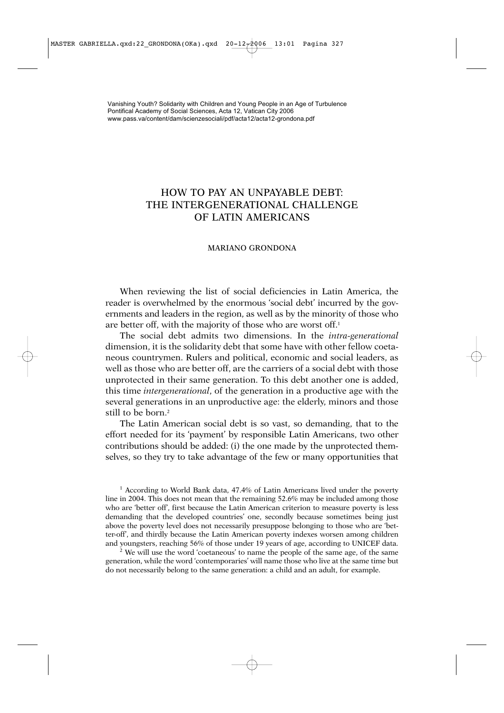# HOW TO PAY AN UNPAYABLE DEBT: THE INTERGENERATIONAL CHALLENGE OF LATIN AMERICANS

## MARIANO GRONDONA

When reviewing the list of social deficiencies in Latin America, the reader is overwhelmed by the enormous 'social debt' incurred by the governments and leaders in the region, as well as by the minority of those who are better off, with the majority of those who are worst off.<sup>1</sup>

The social debt admits two dimensions. In the *intra-generational* dimension, it is the solidarity debt that some have with other fellow coetaneous countrymen. Rulers and political, economic and social leaders, as well as those who are better off, are the carriers of a social debt with those unprotected in their same generation. To this debt another one is added, this time *intergenerational*, of the generation in a productive age with the several generations in an unproductive age: the elderly, minors and those still to be born.<sup>2</sup>

The Latin American social debt is so vast, so demanding, that to the effort needed for its 'payment' by responsible Latin Americans, two other contributions should be added: (i) the one made by the unprotected themselves, so they try to take advantage of the few or many opportunities that

<sup>1</sup> According to World Bank data, 47.4% of Latin Americans lived under the poverty line in 2004. This does not mean that the remaining 52.6% may be included among those who are 'better off', first because the Latin American criterion to measure poverty is less demanding that the developed countries' one, secondly because sometimes being just above the poverty level does not necessarily presuppose belonging to those who are 'better-off', and thirdly because the Latin American poverty indexes worsen among children and youngsters, reaching 56% of those under 19 years of age, according to UNICEF data.

<sup>2</sup> We will use the word 'coetaneous' to name the people of the same age, of the same generation, while the word 'contemporaries' will name those who live at the same time but do not necessarily belong to the same generation: a child and an adult, for example.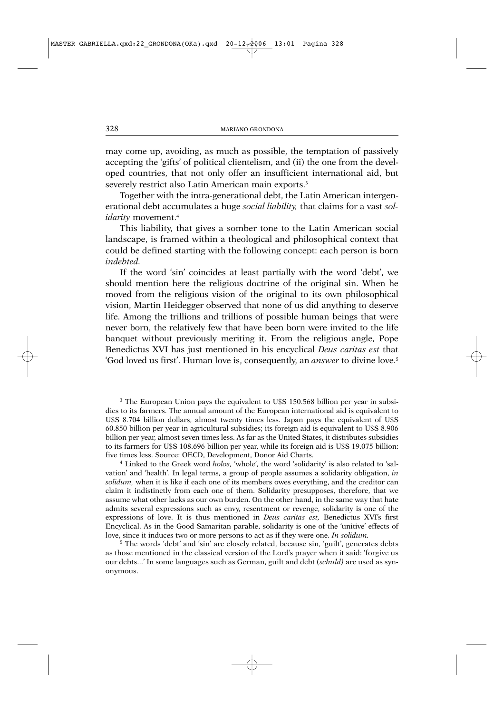may come up, avoiding, as much as possible, the temptation of passively accepting the 'gifts' of political clientelism, and (ii) the one from the developed countries, that not only offer an insufficient international aid, but severely restrict also Latin American main exports.<sup>3</sup>

Together with the intra-generational debt, the Latin American intergenerational debt accumulates a huge *social liability,* that claims for a vast *solidarity* movement.4

This liability, that gives a somber tone to the Latin American social landscape, is framed within a theological and philosophical context that could be defined starting with the following concept: each person is born *indebted.*

If the word 'sin' coincides at least partially with the word 'debt', we should mention here the religious doctrine of the original sin. When he moved from the religious vision of the original to its own philosophical vision, Martin Heidegger observed that none of us did anything to deserve life. Among the trillions and trillions of possible human beings that were never born, the relatively few that have been born were invited to the life banquet without previously meriting it. From the religious angle, Pope Benedictus XVI has just mentioned in his encyclical *Deus caritas est* that 'God loved us first'. Human love is, consequently, an *answer* to divine love.5

<sup>3</sup> The European Union pays the equivalent to U\$S 150.568 billion per year in subsidies to its farmers. The annual amount of the European international aid is equivalent to U\$S 8.704 billion dollars, almost twenty times less. Japan pays the equivalent of U\$S 60.850 billion per year in agricultural subsidies; its foreign aid is equivalent to U\$S 8.906 billion per year, almost seven times less. As far as the United States, it distributes subsidies to its farmers for U\$S 108.696 billion per year, while its foreign aid is U\$S 19.075 billion: five times less. Source: OECD, Development, Donor Aid Charts.

<sup>4</sup> Linked to the Greek word *holos,* 'whole', the word 'solidarity' is also related to 'salvation' and 'health'. In legal terms, a group of people assumes a solidarity obligation, *in solidum,* when it is like if each one of its members owes everything, and the creditor can claim it indistinctly from each one of them. Solidarity presupposes, therefore, that we assume what other lacks as our own burden. On the other hand, in the same way that hate admits several expressions such as envy, resentment or revenge, solidarity is one of the expressions of love. It is thus mentioned in *Deus caritas est,* Benedictus XVI's first Encyclical. As in the Good Samaritan parable, solidarity is one of the 'unitive' effects of love, since it induces two or more persons to act as if they were one. *In solidum.*

 $5$  The words 'debt' and 'sin' are closely related, because sin, 'guilt', generates debts as those mentioned in the classical version of the Lord's prayer when it said: 'forgive us our debts...' In some languages such as German, guilt and debt (*schuld)* are used as synonymous.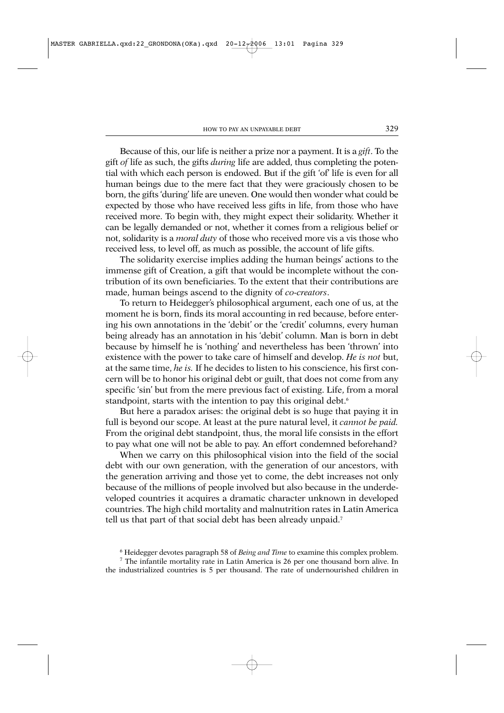Because of this, our life is neither a prize nor a payment. It is a *gift*. To the gift *of* life as such, the gifts *during* life are added, thus completing the potential with which each person is endowed. But if the gift 'of' life is even for all human beings due to the mere fact that they were graciously chosen to be born, the gifts 'during' life are uneven. One would then wonder what could be expected by those who have received less gifts in life, from those who have received more. To begin with, they might expect their solidarity. Whether it can be legally demanded or not, whether it comes from a religious belief or not, solidarity is a *moral duty* of those who received more vis a vis those who received less, to level off, as much as possible, the account of life gifts.

The solidarity exercise implies adding the human beings' actions to the immense gift of Creation, a gift that would be incomplete without the contribution of its own beneficiaries. To the extent that their contributions are made, human beings ascend to the dignity of *co-creators*.

To return to Heidegger's philosophical argument, each one of us, at the moment he is born, finds its moral accounting in red because, before entering his own annotations in the 'debit' or the 'credit' columns, every human being already has an annotation in his 'debit' column. Man is born in debt because by himself he is 'nothing' and nevertheless has been 'thrown' into existence with the power to take care of himself and develop. *He is not* but, at the same time, *he is.* If he decides to listen to his conscience, his first concern will be to honor his original debt or guilt, that does not come from any specific 'sin' but from the mere previous fact of existing. Life, from a moral standpoint, starts with the intention to pay this original debt.<sup>6</sup>

But here a paradox arises: the original debt is so huge that paying it in full is beyond our scope. At least at the pure natural level, it *cannot be paid.* From the original debt standpoint, thus, the moral life consists in the effort to pay what one will not be able to pay. An effort condemned beforehand?

When we carry on this philosophical vision into the field of the social debt with our own generation, with the generation of our ancestors, with the generation arriving and those yet to come, the debt increases not only because of the millions of people involved but also because in the underdeveloped countries it acquires a dramatic character unknown in developed countries. The high child mortality and malnutrition rates in Latin America tell us that part of that social debt has been already unpaid.<sup>7</sup>

<sup>6</sup> Heidegger devotes paragraph 58 of *Being and Time* to examine this complex problem.

<sup>7</sup> The infantile mortality rate in Latin America is 26 per one thousand born alive. In the industrialized countries is 5 per thousand. The rate of undernourished children in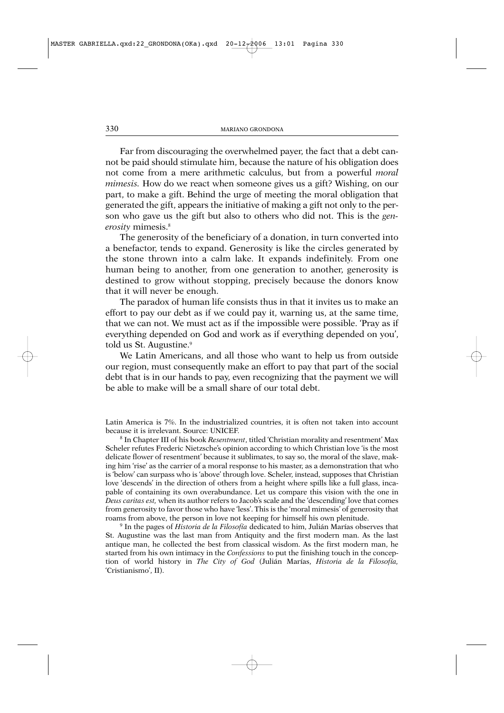Far from discouraging the overwhelmed payer, the fact that a debt cannot be paid should stimulate him, because the nature of his obligation does not come from a mere arithmetic calculus, but from a powerful *moral mimesis.* How do we react when someone gives us a gift? Wishing, on our part, to make a gift. Behind the urge of meeting the moral obligation that generated the gift, appears the initiative of making a gift not only to the person who gave us the gift but also to others who did not. This is the *generosity* mimesis.8

The generosity of the beneficiary of a donation, in turn converted into a benefactor, tends to expand. Generosity is like the circles generated by the stone thrown into a calm lake. It expands indefinitely. From one human being to another, from one generation to another, generosity is destined to grow without stopping, precisely because the donors know that it will never be enough.

The paradox of human life consists thus in that it invites us to make an effort to pay our debt as if we could pay it, warning us, at the same time, that we can not. We must act as if the impossible were possible. 'Pray as if everything depended on God and work as if everything depended on you', told us St. Augustine.<sup>9</sup>

We Latin Americans, and all those who want to help us from outside our region, must consequently make an effort to pay that part of the social debt that is in our hands to pay, even recognizing that the payment we will be able to make will be a small share of our total debt.

Latin America is 7%. In the industrialized countries, it is often not taken into account because it is irrelevant. Source: UNICEF.

<sup>8</sup> In Chapter III of his book *Resentment*, titled 'Christian morality and resentment' Max Scheler refutes Frederic Nietzsche's opinion according to which Christian love 'is the most delicate flower of resentment' because it sublimates, to say so, the moral of the slave, making him 'rise' as the carrier of a moral response to his master, as a demonstration that who is 'below' can surpass who is 'above' through love. Scheler, instead, supposes that Christian love 'descends' in the direction of others from a height where spills like a full glass, incapable of containing its own overabundance. Let us compare this vision with the one in *Deus caritas est,* when its author refers to Jacob's scale and the 'descending' love that comes from generosity to favor those who have 'less'. This is the 'moral mimesis' of generosity that roams from above, the person in love not keeping for himself his own plenitude.

<sup>9</sup> In the pages of *Historia de la Filosofía* dedicated to him, Julián Marías observes that St. Augustine was the last man from Antiquity and the first modern man. As the last antique man, he collected the best from classical wisdom. As the first modern man, he started from his own intimacy in the *Confessions* to put the finishing touch in the conception of world history in *The City of God* (Julián Marías, *Historia de la Filosofía,* 'Cristianismo', II).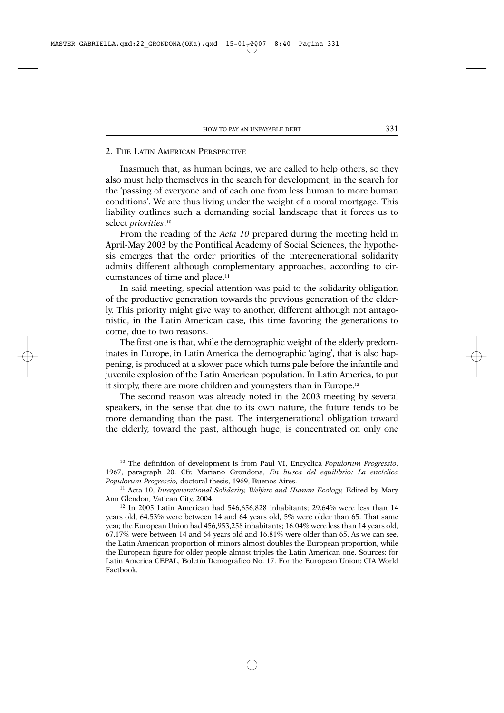## 2. THE LATIN AMERICAN PERSPECTIVE

Inasmuch that, as human beings, we are called to help others, so they also must help themselves in the search for development, in the search for the 'passing of everyone and of each one from less human to more human conditions'. We are thus living under the weight of a moral mortgage. This liability outlines such a demanding social landscape that it forces us to select *priorities*. 10

From the reading of the *Acta 10* prepared during the meeting held in April-May 2003 by the Pontifical Academy of Social Sciences, the hypothesis emerges that the order priorities of the intergenerational solidarity admits different although complementary approaches, according to circumstances of time and place.11

In said meeting, special attention was paid to the solidarity obligation of the productive generation towards the previous generation of the elderly. This priority might give way to another, different although not antagonistic, in the Latin American case, this time favoring the generations to come, due to two reasons.

The first one is that, while the demographic weight of the elderly predominates in Europe, in Latin America the demographic 'aging', that is also happening, is produced at a slower pace which turns pale before the infantile and juvenile explosion of the Latin American population. In Latin America, to put it simply, there are more children and youngsters than in Europe.12

The second reason was already noted in the 2003 meeting by several speakers, in the sense that due to its own nature, the future tends to be more demanding than the past. The intergenerational obligation toward the elderly, toward the past, although huge, is concentrated on only one

<sup>10</sup> The definition of development is from Paul VI, Encyclica *Populorum Progressio*, 1967, paragraph 20. Cfr. Mariano Grondona, *En busca del equilibrio: La encíclica Populorum Progressio,* doctoral thesis, 1969, Buenos Aires.

<sup>11</sup> Acta 10, *Intergenerational Solidarity, Welfare and Human Ecology, Edited by Mary* Ann Glendon, Vatican City, 2004.

<sup>12</sup> In 2005 Latin American had 546,656,828 inhabitants; 29.64% were less than 14 years old, 64.53% were between 14 and 64 years old, 5% were older than 65. That same year, the European Union had 456,953,258 inhabitants; 16.04% were less than 14 years old, 67.17% were between 14 and 64 years old and 16.81% were older than 65. As we can see, the Latin American proportion of minors almost doubles the European proportion, while the European figure for older people almost triples the Latin American one. Sources: for Latin America CEPAL, Boletín Demográfico No. 17. For the European Union: CIA World Factbook.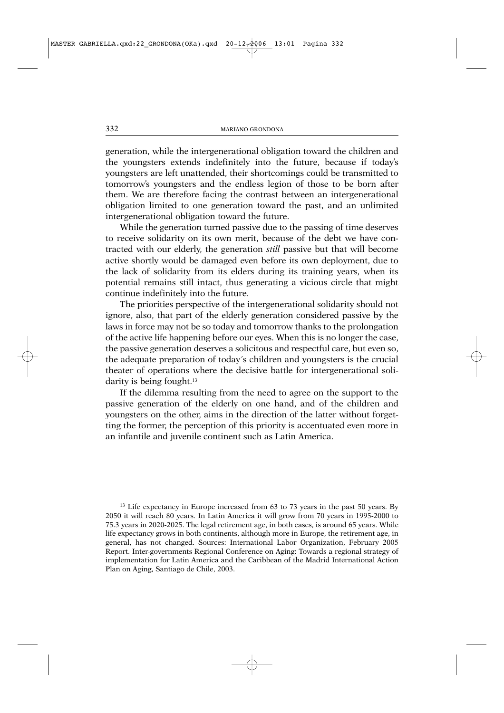generation, while the intergenerational obligation toward the children and the youngsters extends indefinitely into the future, because if today's youngsters are left unattended, their shortcomings could be transmitted to tomorrow's youngsters and the endless legion of those to be born after them. We are therefore facing the contrast between an intergenerational obligation limited to one generation toward the past, and an unlimited intergenerational obligation toward the future.

While the generation turned passive due to the passing of time deserves to receive solidarity on its own merit, because of the debt we have contracted with our elderly, the generation *still* passive but that will become active shortly would be damaged even before its own deployment, due to the lack of solidarity from its elders during its training years, when its potential remains still intact, thus generating a vicious circle that might continue indefinitely into the future.

The priorities perspective of the intergenerational solidarity should not ignore, also, that part of the elderly generation considered passive by the laws in force may not be so today and tomorrow thanks to the prolongation of the active life happening before our eyes. When this is no longer the case, the passive generation deserves a solicitous and respectful care, but even so, the adequate preparation of today´s children and youngsters is the crucial theater of operations where the decisive battle for intergenerational solidarity is being fought.<sup>13</sup>

If the dilemma resulting from the need to agree on the support to the passive generation of the elderly on one hand, and of the children and youngsters on the other, aims in the direction of the latter without forgetting the former, the perception of this priority is accentuated even more in an infantile and juvenile continent such as Latin America.

<sup>13</sup> Life expectancy in Europe increased from 63 to 73 years in the past 50 years. By 2050 it will reach 80 years. In Latin America it will grow from 70 years in 1995-2000 to 75.3 years in 2020-2025. The legal retirement age, in both cases, is around 65 years. While life expectancy grows in both continents, although more in Europe, the retirement age, in general, has not changed. Sources: International Labor Organization, February 2005 Report. Inter-governments Regional Conference on Aging: Towards a regional strategy of implementation for Latin America and the Caribbean of the Madrid International Action Plan on Aging, Santiago de Chile, 2003.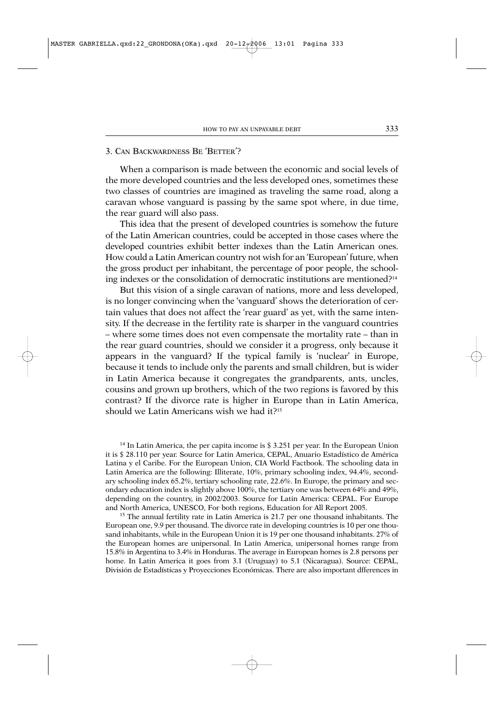### 3. CAN BACKWARDNESS BE 'BETTER'?

When a comparison is made between the economic and social levels of the more developed countries and the less developed ones, sometimes these two classes of countries are imagined as traveling the same road, along a caravan whose vanguard is passing by the same spot where, in due time, the rear guard will also pass.

This idea that the present of developed countries is somehow the future of the Latin American countries, could be accepted in those cases where the developed countries exhibit better indexes than the Latin American ones. How could a Latin American country not wish for an 'European' future, when the gross product per inhabitant, the percentage of poor people, the schooling indexes or the consolidation of democratic institutions are mentioned?14

But this vision of a single caravan of nations, more and less developed, is no longer convincing when the 'vanguard' shows the deterioration of certain values that does not affect the 'rear guard' as yet, with the same intensity. If the decrease in the fertility rate is sharper in the vanguard countries – where some times does not even compensate the mortality rate – than in the rear guard countries, should we consider it a progress, only because it appears in the vanguard? If the typical family is 'nuclear' in Europe, because it tends to include only the parents and small children, but is wider in Latin America because it congregates the grandparents, ants, uncles, cousins and grown up brothers, which of the two regions is favored by this contrast? If the divorce rate is higher in Europe than in Latin America, should we Latin Americans wish we had it?15

<sup>14</sup> In Latin America, the per capita income is \$3.251 per year. In the European Union it is \$ 28.110 per year. Source for Latin America, CEPAL, Anuario Estadístico de América Latina y el Caribe. For the European Union, CIA World Factbook. The schooling data in Latin America are the following: Illiterate, 10%, primary schooling index, 94.4%, secondary schooling index 65.2%, tertiary schooling rate, 22.6%. In Europe, the primary and secondary education index is slightly above 100%, the tertiary one was between 64% and 49%, depending on the country, in 2002/2003. Source for Latin America: CEPAL. For Europe and North America, UNESCO, For both regions, Education for All Report 2005.

<sup>15</sup> The annual fertility rate in Latin America is 21.7 per one thousand inhabitants. The European one, 9.9 per thousand. The divorce rate in developing countries is 10 per one thousand inhabitants, while in the European Union it is 19 per one thousand inhabitants. 27% of the European homes are unipersonal. In Latin America, unipersonal homes range from 15.8% in Argentina to 3.4% in Honduras. The average in European homes is 2.8 persons per home. In Latin America it goes from 3.1 (Uruguay) to 5.1 (Nicaragua). Source: CEPAL, División de Estadísticas y Proyecciones Económicas. There are also important dfferences in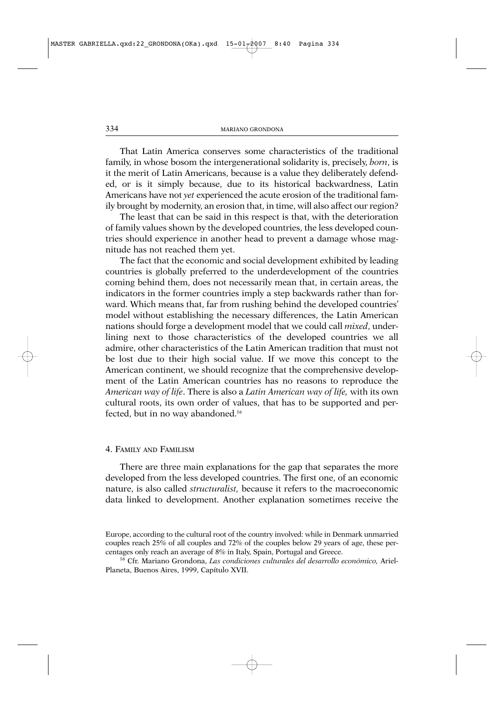That Latin America conserves some characteristics of the traditional family, in whose bosom the intergenerational solidarity is, precisely, *born*, is it the merit of Latin Americans, because is a value they deliberately defended, or is it simply because, due to its historical backwardness, Latin Americans have not *yet* experienced the acute erosion of the traditional family brought by modernity, an erosion that, in time, will also affect our region?

The least that can be said in this respect is that, with the deterioration of family values shown by the developed countries, the less developed countries should experience in another head to prevent a damage whose magnitude has not reached them yet.

The fact that the economic and social development exhibited by leading countries is globally preferred to the underdevelopment of the countries coming behind them, does not necessarily mean that, in certain areas, the indicators in the former countries imply a step backwards rather than forward. Which means that, far from rushing behind the developed countries' model without establishing the necessary differences, the Latin American nations should forge a development model that we could call *mixed*, underlining next to those characteristics of the developed countries we all admire, other characteristics of the Latin American tradition that must not be lost due to their high social value. If we move this concept to the American continent, we should recognize that the comprehensive development of the Latin American countries has no reasons to reproduce the *American way of life*. There is also a *Latin American way of life,* with its own cultural roots, its own order of values, that has to be supported and perfected, but in no way abandoned.16

#### 4. FAMILY AND FAMILISM

There are three main explanations for the gap that separates the more developed from the less developed countries. The first one, of an economic nature, is also called *structuralist,* because it refers to the macroeconomic data linked to development. Another explanation sometimes receive the

Europe, according to the cultural root of the country involved: while in Denmark unmarried couples reach 25% of all couples and 72% of the couples below 29 years of age, these percentages only reach an average of 8% in Italy, Spain, Portugal and Greece.

<sup>16</sup> Cfr. Mariano Grondona, *Las condiciones culturales del desarrollo económico,* Ariel-Planeta, Buenos Aires, 1999, Capítulo XVII.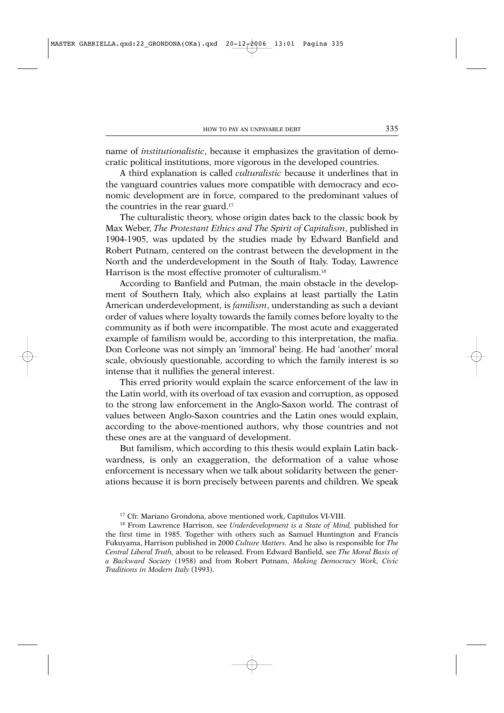name of *institutionalistic*, because it emphasizes the gravitation of democratic political institutions, more vigorous in the developed countries.

A third explanation is called *culturalistic* because it underlines that in the vanguard countries values more compatible with democracy and economic development are in force, compared to the predominant values of the countries in the rear guard.17

The culturalistic theory, whose origin dates back to the classic book by Max Weber, *The Protestant Ethics and The Spirit of Capitalism*, published in 1904-1905, was updated by the studies made by Edward Banfield and Robert Putnam, centered on the contrast between the development in the North and the underdevelopment in the South of Italy. Today, Lawrence Harrison is the most effective promoter of culturalism.<sup>18</sup>

According to Banfield and Putman, the main obstacle in the development of Southern Italy, which also explains at least partially the Latin American underdevelopment, is *familism*, understanding as such a deviant order of values where loyalty towards the family comes before loyalty to the community as if both were incompatible. The most acute and exaggerated example of familism would be, according to this interpretation, the mafia. Don Corleone was not simply an 'immoral' being. He had 'another' moral scale, obviously questionable, according to which the family interest is so intense that it nullifies the general interest.

This erred priority would explain the scarce enforcement of the law in the Latin world, with its overload of tax evasion and corruption, as opposed to the strong law enforcement in the Anglo-Saxon world. The contrast of values between Anglo-Saxon countries and the Latin ones would explain, according to the above-mentioned authors, why those countries and not these ones are at the vanguard of development.

But familism, which according to this thesis would explain Latin backwardness, is only an exaggeration, the deformation of a value whose enforcement is necessary when we talk about solidarity between the generations because it is born precisely between parents and children. We speak

<sup>17</sup> Cfr. Mariano Grondona, above mentioned work, Capítulos VI-VIII.

<sup>18</sup> From Lawrence Harrison, see *Underdevelopment is a State of Mind,* published for the first time in 1985. Together with others such as Samuel Huntington and Francis Fukuyama, Harrison published in 2000 *Culture Matters.* And he also is responsible for *The Central Liberal Truth,* about to be released. From Edward Banfield, see *The Moral Basis of a Backward Society* (1958) and from Robert Putnam, *Making Democracy Work, Civic Traditions in Modern Italy* (1993).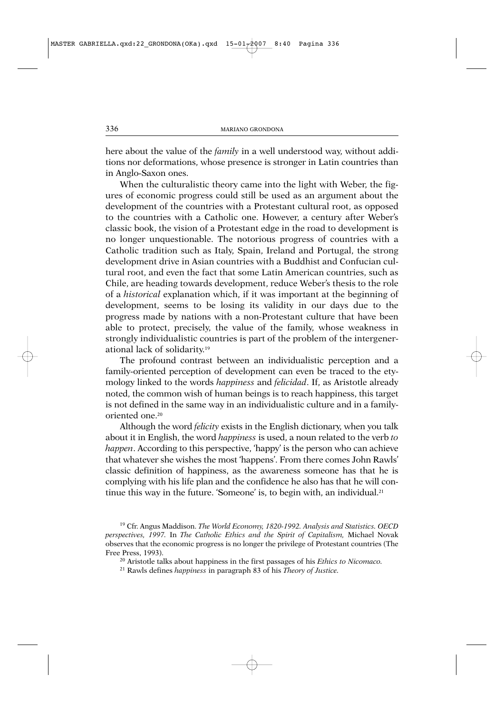here about the value of the *family* in a well understood way, without additions nor deformations, whose presence is stronger in Latin countries than in Anglo-Saxon ones.

When the culturalistic theory came into the light with Weber, the figures of economic progress could still be used as an argument about the development of the countries with a Protestant cultural root, as opposed to the countries with a Catholic one. However, a century after Weber's classic book, the vision of a Protestant edge in the road to development is no longer unquestionable. The notorious progress of countries with a Catholic tradition such as Italy, Spain, Ireland and Portugal, the strong development drive in Asian countries with a Buddhist and Confucian cultural root, and even the fact that some Latin American countries, such as Chile, are heading towards development, reduce Weber's thesis to the role of a *historical* explanation which, if it was important at the beginning of development, seems to be losing its validity in our days due to the progress made by nations with a non-Protestant culture that have been able to protect, precisely, the value of the family, whose weakness in strongly individualistic countries is part of the problem of the intergenerational lack of solidarity.19

The profound contrast between an individualistic perception and a family-oriented perception of development can even be traced to the etymology linked to the words *happiness* and *felicidad*. If, as Aristotle already noted, the common wish of human beings is to reach happiness, this target is not defined in the same way in an individualistic culture and in a familyoriented one.20

Although the word *felicity* exists in the English dictionary, when you talk about it in English, the word *happiness* is used, a noun related to the verb *to happen*. According to this perspective, 'happy' is the person who can achieve that whatever she wishes the most 'happens'. From there comes John Rawls' classic definition of happiness, as the awareness someone has that he is complying with his life plan and the confidence he also has that he will continue this way in the future. 'Someone' is, to begin with, an individual.<sup>21</sup>

<sup>19</sup> Cfr. Angus Maddison. *The World Economy, 1820-1992. Analysis and Statistics. OECD perspectives, 1997.* In *The Catholic Ethics and the Spirit of Capitalism,* Michael Novak observes that the economic progress is no longer the privilege of Protestant countries (The Free Press, 1993).

<sup>20</sup> Aristotle talks about happiness in the first passages of his *Ethics to Nicomaco.*

<sup>21</sup> Rawls defines *happiness* in paragraph 83 of his *Theory of Justice.*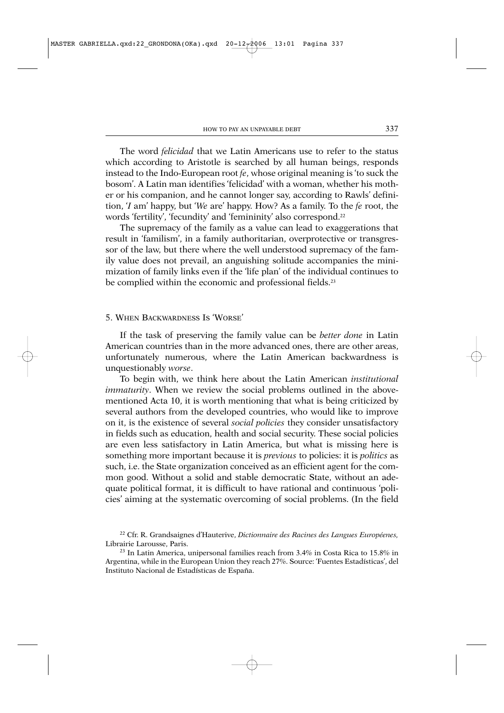The word *felicidad* that we Latin Americans use to refer to the status which according to Aristotle is searched by all human beings, responds instead to the Indo-European root *fe*, whose original meaning is 'to suck the bosom'. A Latin man identifies 'felicidad' with a woman, whether his mother or his companion, and he cannot longer say, according to Rawls' definition, '*I* am' happy, but '*We* are' happy. How? As a family. To the *fe* root, the words 'fertility', 'fecundity' and 'femininity' also correspond.22

The supremacy of the family as a value can lead to exaggerations that result in 'familism', in a family authoritarian, overprotective or transgressor of the law, but there where the well understood supremacy of the family value does not prevail, an anguishing solitude accompanies the minimization of family links even if the 'life plan' of the individual continues to be complied within the economic and professional fields.<sup>23</sup>

### 5. WHEN BACKWARDNESS IS 'WORSE'

If the task of preserving the family value can be *better done* in Latin American countries than in the more advanced ones, there are other areas, unfortunately numerous, where the Latin American backwardness is unquestionably *worse*.

To begin with, we think here about the Latin American *institutional immaturity*. When we review the social problems outlined in the abovementioned Acta 10, it is worth mentioning that what is being criticized by several authors from the developed countries, who would like to improve on it, is the existence of several *social policies* they consider unsatisfactory in fields such as education, health and social security. These social policies are even less satisfactory in Latin America, but what is missing here is something more important because it is *previous* to policies: it is *politics* as such, i.e. the State organization conceived as an efficient agent for the common good. Without a solid and stable democratic State, without an adequate political format, it is difficult to have rational and continuous 'policies' aiming at the systematic overcoming of social problems. (In the field

<sup>22</sup> Cfr. R. Grandsaignes d'Hauterive, *Dictionnaire des Racines des Langues Européenes,* Librairie Larousse, Paris.

<sup>23</sup> In Latin America, unipersonal families reach from 3.4% in Costa Rica to 15.8% in Argentina, while in the European Union they reach 27%. Source: 'Fuentes Estadísticas', del Instituto Nacional de Estadísticas de España.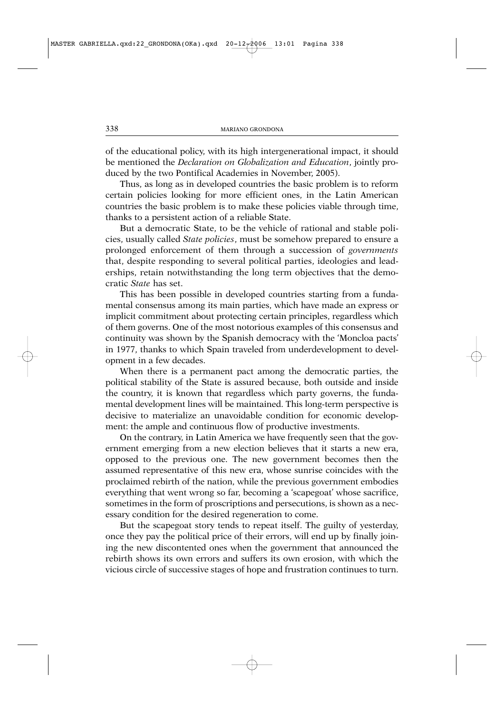of the educational policy, with its high intergenerational impact, it should be mentioned the *Declaration on Globalization and Education*, jointly produced by the two Pontifical Academies in November, 2005).

Thus, as long as in developed countries the basic problem is to reform certain policies looking for more efficient ones, in the Latin American countries the basic problem is to make these policies viable through time, thanks to a persistent action of a reliable State.

But a democratic State, to be the vehicle of rational and stable policies, usually called *State policies*, must be somehow prepared to ensure a prolonged enforcement of them through a succession of *governments* that, despite responding to several political parties, ideologies and leaderships, retain notwithstanding the long term objectives that the democratic *State* has set.

This has been possible in developed countries starting from a fundamental consensus among its main parties, which have made an express or implicit commitment about protecting certain principles, regardless which of them governs. One of the most notorious examples of this consensus and continuity was shown by the Spanish democracy with the 'Moncloa pacts' in 1977, thanks to which Spain traveled from underdevelopment to development in a few decades.

When there is a permanent pact among the democratic parties, the political stability of the State is assured because, both outside and inside the country, it is known that regardless which party governs, the fundamental development lines will be maintained. This long-term perspective is decisive to materialize an unavoidable condition for economic development: the ample and continuous flow of productive investments.

On the contrary, in Latin America we have frequently seen that the government emerging from a new election believes that it starts a new era, opposed to the previous one. The new government becomes then the assumed representative of this new era, whose sunrise coincides with the proclaimed rebirth of the nation, while the previous government embodies everything that went wrong so far, becoming a 'scapegoat' whose sacrifice, sometimes in the form of proscriptions and persecutions, is shown as a necessary condition for the desired regeneration to come.

But the scapegoat story tends to repeat itself. The guilty of yesterday, once they pay the political price of their errors, will end up by finally joining the new discontented ones when the government that announced the rebirth shows its own errors and suffers its own erosion, with which the vicious circle of successive stages of hope and frustration continues to turn.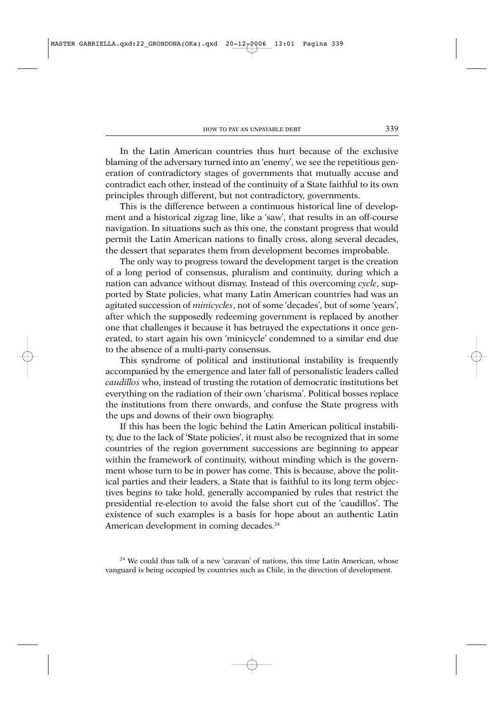In the Latin American countries thus hurt because of the exclusive blaming of the adversary turned into an 'enemy', we see the repetitious generation of contradictory stages of governments that mutually accuse and contradict each other, instead of the continuity of a State faithful to its own principles through different, but not contradictory, governments.

This is the difference between a continuous historical line of development and a historical zigzag line, like a 'saw', that results in an off-course navigation. In situations such as this one, the constant progress that would permit the Latin American nations to finally cross, along several decades, the dessert that separates them from development becomes improbable.

The only way to progress toward the development target is the creation of a long period of consensus, pluralism and continuity, during which a nation can advance without dismay. Instead of this overcoming *cycle*, supported by State policies, what many Latin American countries had was an agitated succession of *minicycles*, not of some 'decades', but of some 'years', after which the supposedly redeeming government is replaced by another one that challenges it because it has betrayed the expectations it once generated, to start again his own 'minicycle' condemned to a similar end due to the absence of a multi-party consensus.

This syndrome of political and institutional instability is frequently accompanied by the emergence and later fall of personalistic leaders called *caudillos* who, instead of trusting the rotation of democratic institutions bet everything on the radiation of their own 'charisma'. Political bosses replace the institutions from there onwards, and confuse the State progress with the ups and downs of their own biography.

If this has been the logic behind the Latin American political instability, due to the lack of 'State policies', it must also be recognized that in some countries of the region government successions are beginning to appear within the framework of continuity, without minding which is the government whose turn to be in power has come. This is because, above the political parties and their leaders, a State that is faithful to its long term objectives begins to take hold, generally accompanied by rules that restrict the presidential re-election to avoid the false short cut of the 'caudillos'. The existence of such examples is a basis for hope about an authentic Latin American development in coming decades.<sup>24</sup>

 $24$  We could thus talk of a new 'caravan' of nations, this time Latin American, whose vanguard is being occupied by countries such as Chile, in the direction of development.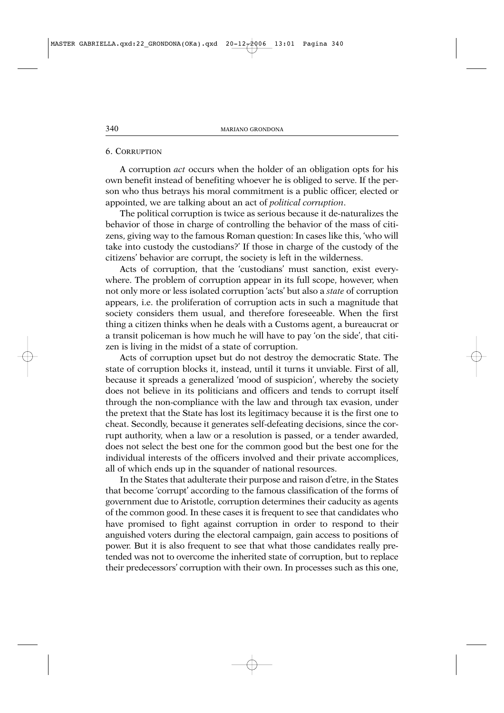#### 6. CORRUPTION

A corruption *act* occurs when the holder of an obligation opts for his own benefit instead of benefiting whoever he is obliged to serve. If the person who thus betrays his moral commitment is a public officer, elected or appointed, we are talking about an act of *political corruption*.

The political corruption is twice as serious because it de-naturalizes the behavior of those in charge of controlling the behavior of the mass of citizens, giving way to the famous Roman question: In cases like this, 'who will take into custody the custodians?' If those in charge of the custody of the citizens' behavior are corrupt, the society is left in the wilderness.

Acts of corruption, that the 'custodians' must sanction, exist everywhere. The problem of corruption appear in its full scope, however, when not only more or less isolated corruption 'acts' but also a *state* of corruption appears, i.e. the proliferation of corruption acts in such a magnitude that society considers them usual, and therefore foreseeable. When the first thing a citizen thinks when he deals with a Customs agent, a bureaucrat or a transit policeman is how much he will have to pay 'on the side', that citizen is living in the midst of a state of corruption.

Acts of corruption upset but do not destroy the democratic State. The state of corruption blocks it, instead, until it turns it unviable. First of all, because it spreads a generalized 'mood of suspicion', whereby the society does not believe in its politicians and officers and tends to corrupt itself through the non-compliance with the law and through tax evasion, under the pretext that the State has lost its legitimacy because it is the first one to cheat. Secondly, because it generates self-defeating decisions, since the corrupt authority, when a law or a resolution is passed, or a tender awarded, does not select the best one for the common good but the best one for the individual interests of the officers involved and their private accomplices, all of which ends up in the squander of national resources.

In the States that adulterate their purpose and raison d'etre, in the States that become 'corrupt' according to the famous classification of the forms of government due to Aristotle, corruption determines their caducity as agents of the common good. In these cases it is frequent to see that candidates who have promised to fight against corruption in order to respond to their anguished voters during the electoral campaign, gain access to positions of power. But it is also frequent to see that what those candidates really pretended was not to overcome the inherited state of corruption, but to replace their predecessors' corruption with their own. In processes such as this one,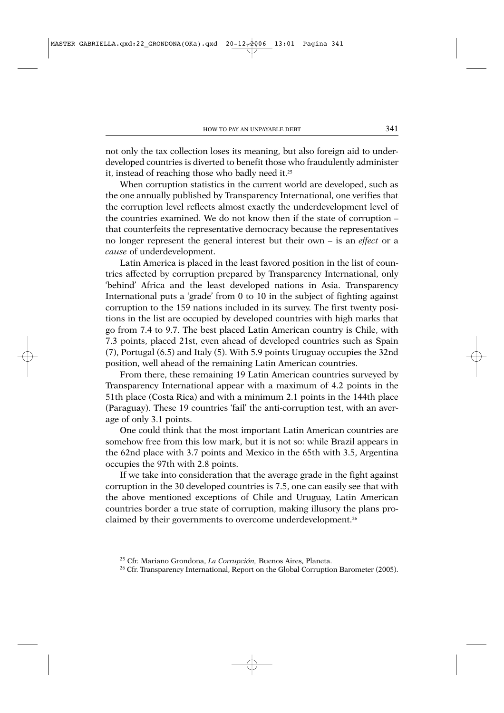not only the tax collection loses its meaning, but also foreign aid to underdeveloped countries is diverted to benefit those who fraudulently administer it, instead of reaching those who badly need it.25

When corruption statistics in the current world are developed, such as the one annually published by Transparency International, one verifies that the corruption level reflects almost exactly the underdevelopment level of the countries examined. We do not know then if the state of corruption – that counterfeits the representative democracy because the representatives no longer represent the general interest but their own – is an *effect* or a *cause* of underdevelopment.

Latin America is placed in the least favored position in the list of countries affected by corruption prepared by Transparency International, only 'behind' Africa and the least developed nations in Asia. Transparency International puts a 'grade' from 0 to 10 in the subject of fighting against corruption to the 159 nations included in its survey. The first twenty positions in the list are occupied by developed countries with high marks that go from 7.4 to 9.7. The best placed Latin American country is Chile, with 7.3 points, placed 21st, even ahead of developed countries such as Spain (7), Portugal (6.5) and Italy (5). With 5.9 points Uruguay occupies the 32nd position, well ahead of the remaining Latin American countries.

From there, these remaining 19 Latin American countries surveyed by Transparency International appear with a maximum of 4.2 points in the 51th place (Costa Rica) and with a minimum 2.1 points in the 144th place (Paraguay). These 19 countries 'fail' the anti-corruption test, with an average of only 3.1 points.

One could think that the most important Latin American countries are somehow free from this low mark, but it is not so: while Brazil appears in the 62nd place with 3.7 points and Mexico in the 65th with 3.5, Argentina occupies the 97th with 2.8 points.

If we take into consideration that the average grade in the fight against corruption in the 30 developed countries is 7.5, one can easily see that with the above mentioned exceptions of Chile and Uruguay, Latin American countries border a true state of corruption, making illusory the plans proclaimed by their governments to overcome underdevelopment.26

<sup>25</sup> Cfr. Mariano Grondona, *La Corrupción,* Buenos Aires, Planeta.

<sup>&</sup>lt;sup>26</sup> Cfr. Transparency International, Report on the Global Corruption Barometer (2005).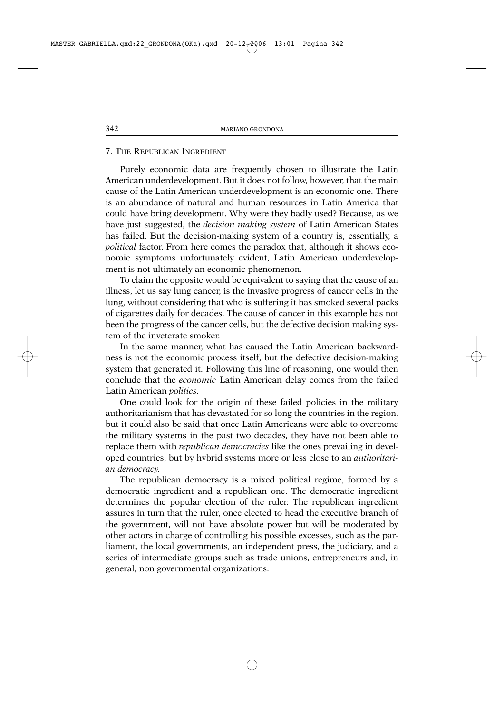## 7. THE REPUBLICAN INGREDIENT

Purely economic data are frequently chosen to illustrate the Latin American underdevelopment. But it does not follow, however, that the main cause of the Latin American underdevelopment is an economic one. There is an abundance of natural and human resources in Latin America that could have bring development. Why were they badly used? Because, as we have just suggested, the *decision making system* of Latin American States has failed. But the decision-making system of a country is, essentially, a *political* factor. From here comes the paradox that, although it shows economic symptoms unfortunately evident, Latin American underdevelopment is not ultimately an economic phenomenon.

To claim the opposite would be equivalent to saying that the cause of an illness, let us say lung cancer, is the invasive progress of cancer cells in the lung, without considering that who is suffering it has smoked several packs of cigarettes daily for decades. The cause of cancer in this example has not been the progress of the cancer cells, but the defective decision making system of the inveterate smoker.

In the same manner, what has caused the Latin American backwardness is not the economic process itself, but the defective decision-making system that generated it. Following this line of reasoning, one would then conclude that the *economic* Latin American delay comes from the failed Latin American *politics.*

One could look for the origin of these failed policies in the military authoritarianism that has devastated for so long the countries in the region, but it could also be said that once Latin Americans were able to overcome the military systems in the past two decades, they have not been able to replace them with *republican democracies* like the ones prevailing in developed countries, but by hybrid systems more or less close to an *authoritarian democracy.*

The republican democracy is a mixed political regime, formed by a democratic ingredient and a republican one. The democratic ingredient determines the popular election of the ruler. The republican ingredient assures in turn that the ruler, once elected to head the executive branch of the government, will not have absolute power but will be moderated by other actors in charge of controlling his possible excesses, such as the parliament, the local governments, an independent press, the judiciary, and a series of intermediate groups such as trade unions, entrepreneurs and, in general, non governmental organizations.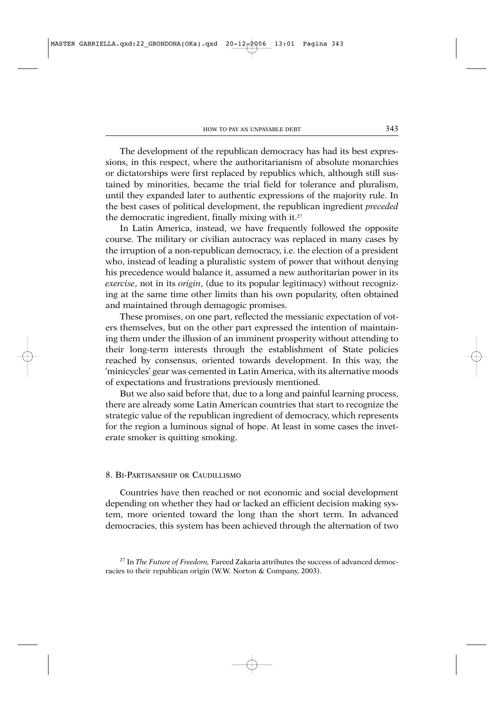The development of the republican democracy has had its best expressions, in this respect, where the authoritarianism of absolute monarchies or dictatorships were first replaced by republics which, although still sustained by minorities, became the trial field for tolerance and pluralism, until they expanded later to authentic expressions of the majority rule. In the best cases of political development, the republican ingredient *preceded* the democratic ingredient, finally mixing with it.<sup>27</sup>

In Latin America, instead, we have frequently followed the opposite course. The military or civilian autocracy was replaced in many cases by the irruption of a non-republican democracy, i.e. the election of a president who, instead of leading a pluralistic system of power that without denying his precedence would balance it, assumed a new authoritarian power in its *exercise*, not in its *origin*, (due to its popular legitimacy) without recognizing at the same time other limits than his own popularity, often obtained and maintained through demagogic promises.

These promises, on one part, reflected the messianic expectation of voters themselves, but on the other part expressed the intention of maintaining them under the illusion of an imminent prosperity without attending to their long-term interests through the establishment of State policies reached by consensus, oriented towards development. In this way, the 'minicycles' gear was cemented in Latin America, with its alternative moods of expectations and frustrations previously mentioned.

But we also said before that, due to a long and painful learning process, there are already some Latin American countries that start to recognize the strategic value of the republican ingredient of democracy, which represents for the region a luminous signal of hope. At least in some cases the inveterate smoker is quitting smoking.

#### 8. BI-PARTISANSHIP OR CAUDILLISMO

Countries have then reached or not economic and social development depending on whether they had or lacked an efficient decision making system, more oriented toward the long than the short term. In advanced democracies, this system has been achieved through the alternation of two

<sup>27</sup> In *The Future of Freedom,* Fareed Zakaria attributes the success of advanced democracies to their republican origin (W.W. Norton & Company, 2003).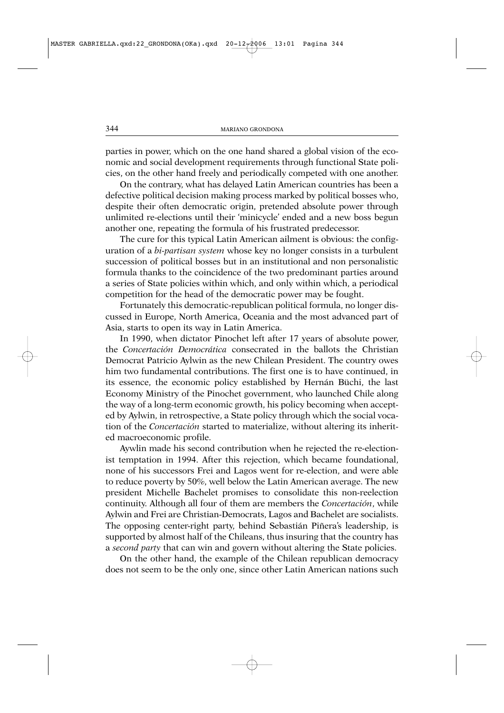parties in power, which on the one hand shared a global vision of the economic and social development requirements through functional State policies, on the other hand freely and periodically competed with one another.

On the contrary, what has delayed Latin American countries has been a defective political decision making process marked by political bosses who, despite their often democratic origin, pretended absolute power through unlimited re-elections until their 'minicycle' ended and a new boss begun another one, repeating the formula of his frustrated predecessor.

The cure for this typical Latin American ailment is obvious: the configuration of a *bi-partisan system* whose key no longer consists in a turbulent succession of political bosses but in an institutional and non personalistic formula thanks to the coincidence of the two predominant parties around a series of State policies within which, and only within which, a periodical competition for the head of the democratic power may be fought.

Fortunately this democratic-republican political formula, no longer discussed in Europe, North America, Oceania and the most advanced part of Asia, starts to open its way in Latin America.

In 1990, when dictator Pinochet left after 17 years of absolute power, the *Concertación Democrática* consecrated in the ballots the Christian Democrat Patricio Aylwin as the new Chilean President. The country owes him two fundamental contributions. The first one is to have continued, in its essence, the economic policy established by Hernán Büchi, the last Economy Ministry of the Pinochet government, who launched Chile along the way of a long-term economic growth, his policy becoming when accepted by Aylwin, in retrospective, a State policy through which the social vocation of the *Concertación* started to materialize, without altering its inherited macroeconomic profile.

Aywlin made his second contribution when he rejected the re-electionist temptation in 1994. After this rejection, which became foundational, none of his successors Frei and Lagos went for re-election, and were able to reduce poverty by 50%, well below the Latin American average. The new president Michelle Bachelet promises to consolidate this non-reelection continuity. Although all four of them are members the *Concertación*, while Aylwin and Frei are Christian-Democrats, Lagos and Bachelet are socialists. The opposing center-right party, behind Sebastián Piñera's leadership, is supported by almost half of the Chileans, thus insuring that the country has a *second party* that can win and govern without altering the State policies.

On the other hand, the example of the Chilean republican democracy does not seem to be the only one, since other Latin American nations such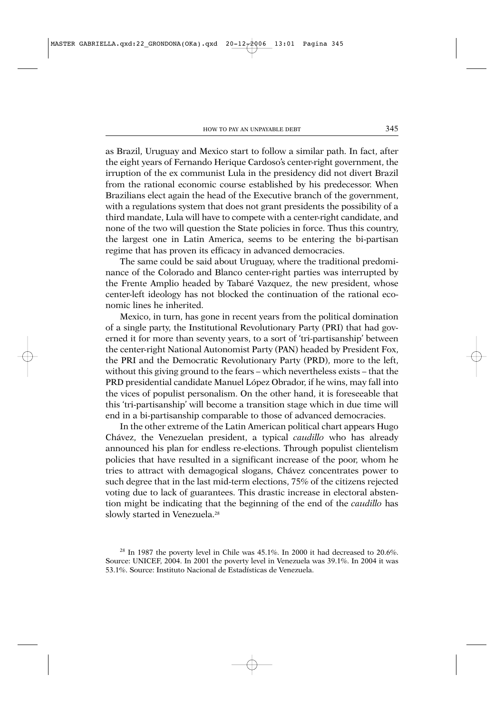as Brazil, Uruguay and Mexico start to follow a similar path. In fact, after the eight years of Fernando Herique Cardoso's center-right government, the irruption of the ex communist Lula in the presidency did not divert Brazil from the rational economic course established by his predecessor. When Brazilians elect again the head of the Executive branch of the government, with a regulations system that does not grant presidents the possibility of a third mandate, Lula will have to compete with a center-right candidate, and none of the two will question the State policies in force. Thus this country, the largest one in Latin America, seems to be entering the bi-partisan regime that has proven its efficacy in advanced democracies.

The same could be said about Uruguay, where the traditional predominance of the Colorado and Blanco center-right parties was interrupted by the Frente Amplio headed by Tabaré Vazquez, the new president, whose center-left ideology has not blocked the continuation of the rational economic lines he inherited.

Mexico, in turn, has gone in recent years from the political domination of a single party, the Institutional Revolutionary Party (PRI) that had governed it for more than seventy years, to a sort of 'tri-partisanship' between the center-right National Autonomist Party (PAN) headed by President Fox, the PRI and the Democratic Revolutionary Party (PRD), more to the left, without this giving ground to the fears – which nevertheless exists – that the PRD presidential candidate Manuel López Obrador, if he wins, may fall into the vices of populist personalism. On the other hand, it is foreseeable that this 'tri-partisanship' will become a transition stage which in due time will end in a bi-partisanship comparable to those of advanced democracies.

In the other extreme of the Latin American political chart appears Hugo Chávez, the Venezuelan president, a typical *caudillo* who has already announced his plan for endless re-elections. Through populist clientelism policies that have resulted in a significant increase of the poor, whom he tries to attract with demagogical slogans, Chávez concentrates power to such degree that in the last mid-term elections, 75% of the citizens rejected voting due to lack of guarantees. This drastic increase in electoral abstention might be indicating that the beginning of the end of the *caudillo* has slowly started in Venezuela.<sup>28</sup>

<sup>&</sup>lt;sup>28</sup> In 1987 the poverty level in Chile was 45.1%. In 2000 it had decreased to 20.6%. Source: UNICEF, 2004. In 2001 the poverty level in Venezuela was 39.1%. In 2004 it was 53.1%. Source: Instituto Nacional de Estadísticas de Venezuela.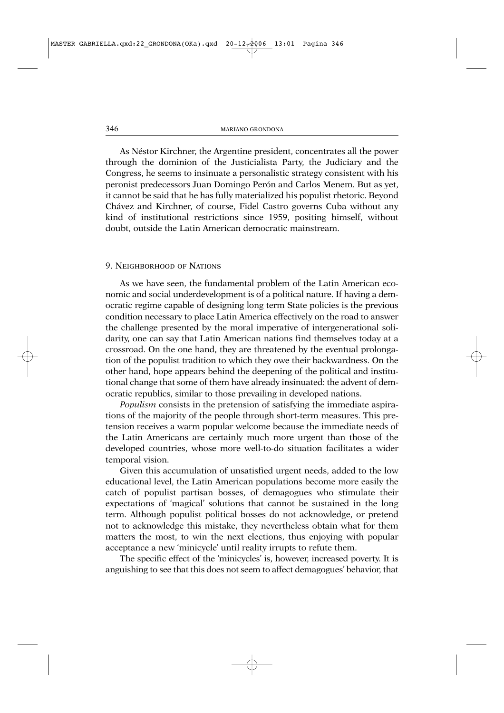As Néstor Kirchner, the Argentine president, concentrates all the power through the dominion of the Justicialista Party, the Judiciary and the Congress, he seems to insinuate a personalistic strategy consistent with his peronist predecessors Juan Domingo Perón and Carlos Menem. But as yet, it cannot be said that he has fully materialized his populist rhetoric. Beyond Chávez and Kirchner, of course, Fidel Castro governs Cuba without any kind of institutional restrictions since 1959, positing himself, without doubt, outside the Latin American democratic mainstream.

### 9. NEIGHBORHOOD OF NATIONS

As we have seen, the fundamental problem of the Latin American economic and social underdevelopment is of a political nature. If having a democratic regime capable of designing long term State policies is the previous condition necessary to place Latin America effectively on the road to answer the challenge presented by the moral imperative of intergenerational solidarity, one can say that Latin American nations find themselves today at a crossroad. On the one hand, they are threatened by the eventual prolongation of the populist tradition to which they owe their backwardness. On the other hand, hope appears behind the deepening of the political and institutional change that some of them have already insinuated: the advent of democratic republics, similar to those prevailing in developed nations.

*Populism* consists in the pretension of satisfying the immediate aspirations of the majority of the people through short-term measures. This pretension receives a warm popular welcome because the immediate needs of the Latin Americans are certainly much more urgent than those of the developed countries, whose more well-to-do situation facilitates a wider temporal vision.

Given this accumulation of unsatisfied urgent needs, added to the low educational level, the Latin American populations become more easily the catch of populist partisan bosses, of demagogues who stimulate their expectations of 'magical' solutions that cannot be sustained in the long term. Although populist political bosses do not acknowledge, or pretend not to acknowledge this mistake, they nevertheless obtain what for them matters the most, to win the next elections, thus enjoying with popular acceptance a new 'minicycle' until reality irrupts to refute them.

The specific effect of the 'minicycles' is, however, increased poverty. It is anguishing to see that this does not seem to affect demagogues' behavior, that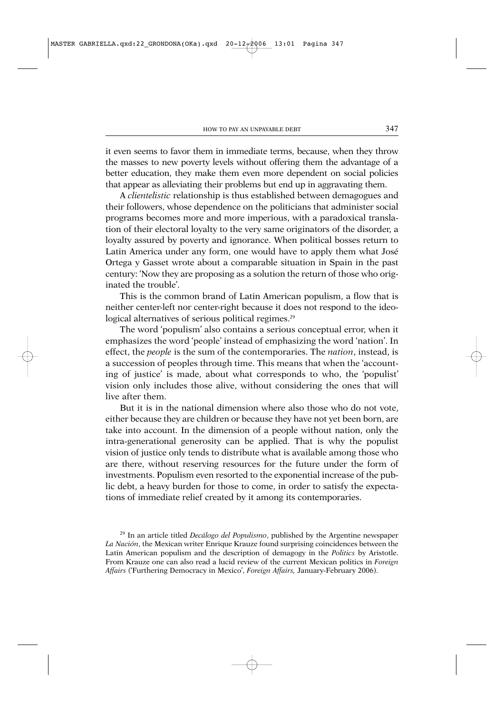it even seems to favor them in immediate terms, because, when they throw the masses to new poverty levels without offering them the advantage of a better education, they make them even more dependent on social policies that appear as alleviating their problems but end up in aggravating them.

A *clientelistic* relationship is thus established between demagogues and their followers, whose dependence on the politicians that administer social programs becomes more and more imperious, with a paradoxical translation of their electoral loyalty to the very same originators of the disorder, a loyalty assured by poverty and ignorance. When political bosses return to Latin America under any form, one would have to apply them what José Ortega y Gasset wrote about a comparable situation in Spain in the past century: 'Now they are proposing as a solution the return of those who originated the trouble'.

This is the common brand of Latin American populism, a flow that is neither center-left nor center-right because it does not respond to the ideological alternatives of serious political regimes.<sup>29</sup>

The word 'populism' also contains a serious conceptual error, when it emphasizes the word 'people' instead of emphasizing the word 'nation'. In effect, the *people* is the sum of the contemporaries. The *nation*, instead, is a succession of peoples through time. This means that when the 'accounting of justice' is made, about what corresponds to who, the 'populist' vision only includes those alive, without considering the ones that will live after them.

But it is in the national dimension where also those who do not vote, either because they are children or because they have not yet been born, are take into account. In the dimension of a people without nation, only the intra-generational generosity can be applied. That is why the populist vision of justice only tends to distribute what is available among those who are there, without reserving resources for the future under the form of investments. Populism even resorted to the exponential increase of the public debt, a heavy burden for those to come, in order to satisfy the expectations of immediate relief created by it among its contemporaries.

<sup>29</sup> In an article titled *Decálogo del Populismo*, published by the Argentine newspaper *La Nación*, the Mexican writer Enrique Krauze found surprising coincidences between the Latin American populism and the description of demagogy in the *Politics* by Aristotle. From Krauze one can also read a lucid review of the current Mexican politics in *Foreign Affairs* ('Furthering Democracy in Mexico', *Foreign Affairs,* January-February 2006).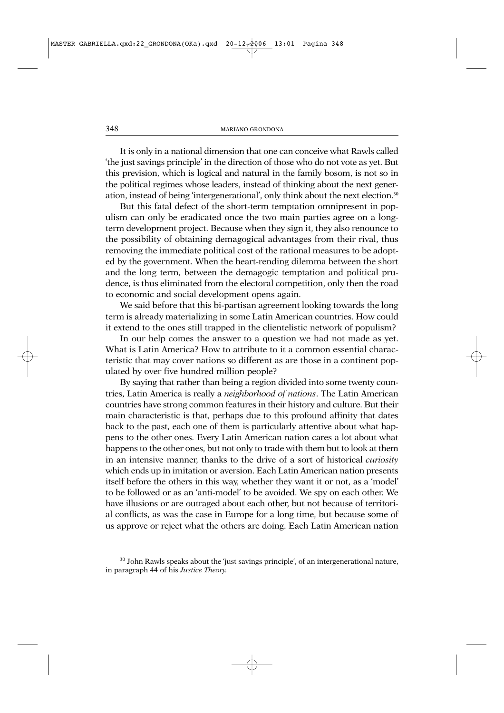It is only in a national dimension that one can conceive what Rawls called 'the just savings principle' in the direction of those who do not vote as yet. But this prevision, which is logical and natural in the family bosom, is not so in the political regimes whose leaders, instead of thinking about the next generation, instead of being 'intergenerational', only think about the next election.30

But this fatal defect of the short-term temptation omnipresent in populism can only be eradicated once the two main parties agree on a longterm development project. Because when they sign it, they also renounce to the possibility of obtaining demagogical advantages from their rival, thus removing the immediate political cost of the rational measures to be adopted by the government. When the heart-rending dilemma between the short and the long term, between the demagogic temptation and political prudence, is thus eliminated from the electoral competition, only then the road to economic and social development opens again.

We said before that this bi-partisan agreement looking towards the long term is already materializing in some Latin American countries. How could it extend to the ones still trapped in the clientelistic network of populism?

In our help comes the answer to a question we had not made as yet. What is Latin America? How to attribute to it a common essential characteristic that may cover nations so different as are those in a continent populated by over five hundred million people?

By saying that rather than being a region divided into some twenty countries, Latin America is really a *neighborhood of nations*. The Latin American countries have strong common features in their history and culture. But their main characteristic is that, perhaps due to this profound affinity that dates back to the past, each one of them is particularly attentive about what happens to the other ones. Every Latin American nation cares a lot about what happens to the other ones, but not only to trade with them but to look at them in an intensive manner, thanks to the drive of a sort of historical *curiosity* which ends up in imitation or aversion. Each Latin American nation presents itself before the others in this way, whether they want it or not, as a 'model' to be followed or as an 'anti-model' to be avoided. We spy on each other. We have illusions or are outraged about each other, but not because of territorial conflicts, as was the case in Europe for a long time, but because some of us approve or reject what the others are doing. Each Latin American nation

<sup>&</sup>lt;sup>30</sup> John Rawls speaks about the 'just savings principle', of an intergenerational nature, in paragraph 44 of his *Justice Theory.*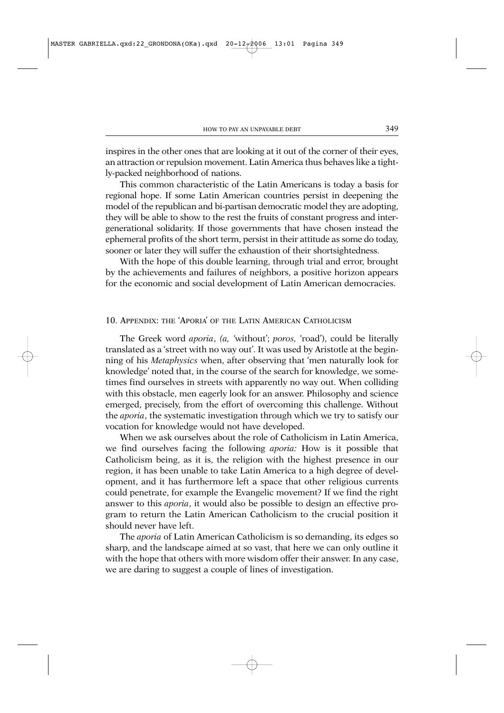inspires in the other ones that are looking at it out of the corner of their eyes, an attraction or repulsion movement. Latin America thus behaves like a tightly-packed neighborhood of nations.

This common characteristic of the Latin Americans is today a basis for regional hope. If some Latin American countries persist in deepening the model of the republican and bi-partisan democratic model they are adopting, they will be able to show to the rest the fruits of constant progress and intergenerational solidarity. If those governments that have chosen instead the ephemeral profits of the short term, persist in their attitude as some do today, sooner or later they will suffer the exhaustion of their shortsightedness.

With the hope of this double learning, through trial and error, brought by the achievements and failures of neighbors, a positive horizon appears for the economic and social development of Latin American democracies.

## 10. APPENDIX: THE 'APORIA' OF THE LATIN AMERICAN CATHOLICISM

The Greek word *aporia*, *(a, '*without'; *poros,* 'road'), could be literally translated as a 'street with no way out'. It was used by Aristotle at the beginning of his *Metaphysics* when, after observing that 'men naturally look for knowledge' noted that, in the course of the search for knowledge, we sometimes find ourselves in streets with apparently no way out. When colliding with this obstacle, men eagerly look for an answer. Philosophy and science emerged, precisely, from the effort of overcoming this challenge. Without the *aporia*, the systematic investigation through which we try to satisfy our vocation for knowledge would not have developed.

When we ask ourselves about the role of Catholicism in Latin America, we find ourselves facing the following *aporia:* How is it possible that Catholicism being, as it is, the religion with the highest presence in our region, it has been unable to take Latin America to a high degree of development, and it has furthermore left a space that other religious currents could penetrate, for example the Evangelic movement? If we find the right answer to this *aporia*, it would also be possible to design an effective program to return the Latin American Catholicism to the crucial position it should never have left.

The *aporia* of Latin American Catholicism is so demanding, its edges so sharp, and the landscape aimed at so vast, that here we can only outline it with the hope that others with more wisdom offer their answer. In any case, we are daring to suggest a couple of lines of investigation.